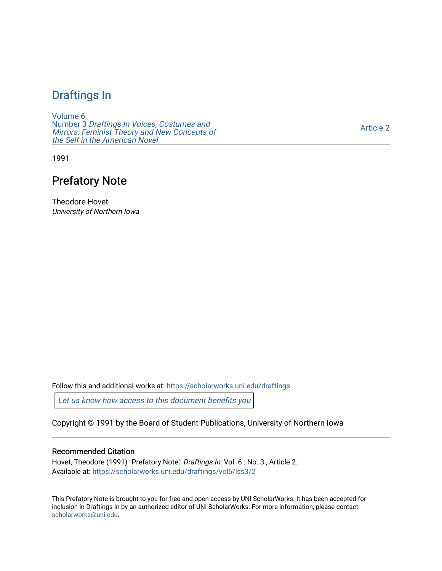## [Draftings In](https://scholarworks.uni.edu/draftings)

[Volume 6](https://scholarworks.uni.edu/draftings/vol6) Number 3 [Draftings In Voices, Costumes and](https://scholarworks.uni.edu/draftings/vol6/iss3)  [Mirrors: Feminist Theory and New Concepts of](https://scholarworks.uni.edu/draftings/vol6/iss3)  [the Self in the American Novel](https://scholarworks.uni.edu/draftings/vol6/iss3) 

[Article 2](https://scholarworks.uni.edu/draftings/vol6/iss3/2) 

1991

## Prefatory Note

Theodore Hovet University of Northern Iowa

Follow this and additional works at: [https://scholarworks.uni.edu/draftings](https://scholarworks.uni.edu/draftings?utm_source=scholarworks.uni.edu%2Fdraftings%2Fvol6%2Fiss3%2F2&utm_medium=PDF&utm_campaign=PDFCoverPages) 

[Let us know how access to this document benefits you](https://scholarworks.uni.edu/feedback_form.html) 

Copyright © 1991 by the Board of Student Publications, University of Northern Iowa

## Recommended Citation

Hovet, Theodore (1991) "Prefatory Note," Draftings In: Vol. 6 : No. 3, Article 2. Available at: [https://scholarworks.uni.edu/draftings/vol6/iss3/2](https://scholarworks.uni.edu/draftings/vol6/iss3/2?utm_source=scholarworks.uni.edu%2Fdraftings%2Fvol6%2Fiss3%2F2&utm_medium=PDF&utm_campaign=PDFCoverPages)

This Prefatory Note is brought to you for free and open access by UNI ScholarWorks. It has been accepted for inclusion in Draftings In by an authorized editor of UNI ScholarWorks. For more information, please contact [scholarworks@uni.edu](mailto:scholarworks@uni.edu).